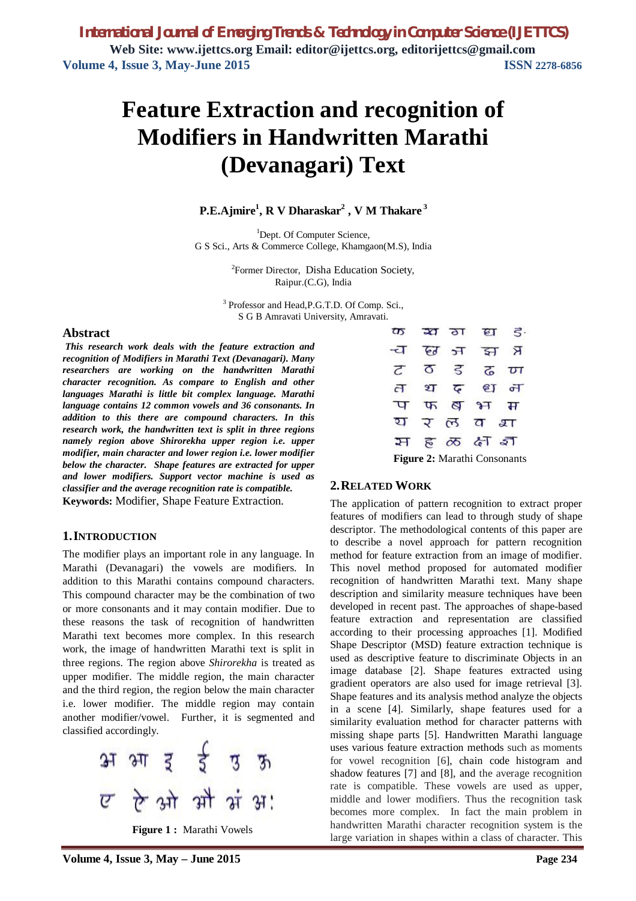# **Feature Extraction and recognition of Modifiers in Handwritten Marathi (Devanagari) Text**

## **P.E.Ajmire<sup>1</sup> , R V Dharaskar<sup>2</sup> , V M Thakare <sup>3</sup>**

<sup>1</sup>Dept. Of Computer Science, G S Sci., Arts & Commerce College, Khamgaon(M.S), India

> <sup>2</sup>Former Director, Disha Education Society, Raipur.(C.G), India

<sup>3</sup> Professor and Head, P.G.T.D. Of Comp. Sci., S G B Amravati University, Amravati.

#### **Abstract**

*This research work deals with the feature extraction and recognition of Modifiers in Marathi Text (Devanagari). Many researchers are working on the handwritten Marathi character recognition. As compare to English and other languages Marathi is little bit complex language. Marathi language contains 12 common vowels and 36 consonants. In addition to this there are compound characters. In this research work, the handwritten text is split in three regions namely region above Shirorekha upper region i.e. upper modifier, main character and lower region i.e. lower modifier below the character. Shape features are extracted for upper and lower modifiers. Support vector machine is used as classifier and the average recognition rate is compatible.*  **Keywords:** Modifier, Shape Feature Extraction.

#### **1.INTRODUCTION**

The modifier plays an important role in any language. In Marathi (Devanagari) the vowels are modifiers. In addition to this Marathi contains compound characters. This compound character may be the combination of two or more consonants and it may contain modifier. Due to these reasons the task of recognition of handwritten Marathi text becomes more complex. In this research work, the image of handwritten Marathi text is split in three regions. The region above *Shirorekha* is treated as upper modifier. The middle region, the main character and the third region, the region below the main character i.e. lower modifier. The middle region may contain another modifier/vowel. Further, it is segmented and classified accordingly.



**Figure 1 :** Marathi Vowels



### **2.RELATED WORK**

The application of pattern recognition to extract proper features of modifiers can lead to through study of shape descriptor. The methodological contents of this paper are to describe a novel approach for pattern recognition method for feature extraction from an image of modifier. This novel method proposed for automated modifier recognition of handwritten Marathi text. Many shape description and similarity measure techniques have been developed in recent past. The approaches of shape-based feature extraction and representation are classified according to their processing approaches [1]. Modified Shape Descriptor (MSD) feature extraction technique is used as descriptive feature to discriminate Objects in an image database [2]. Shape features extracted using gradient operators are also used for image retrieval [3]. Shape features and its analysis method analyze the objects in a scene [4]. Similarly, shape features used for a similarity evaluation method for character patterns with missing shape parts [5]. Handwritten Marathi language uses various feature extraction methods such as moments for vowel recognition [6], chain code histogram and shadow features [7] and [8], and the average recognition rate is compatible. These vowels are used as upper, middle and lower modifiers. Thus the recognition task becomes more complex. In fact the main problem in handwritten Marathi character recognition system is the large variation in shapes within a class of character. This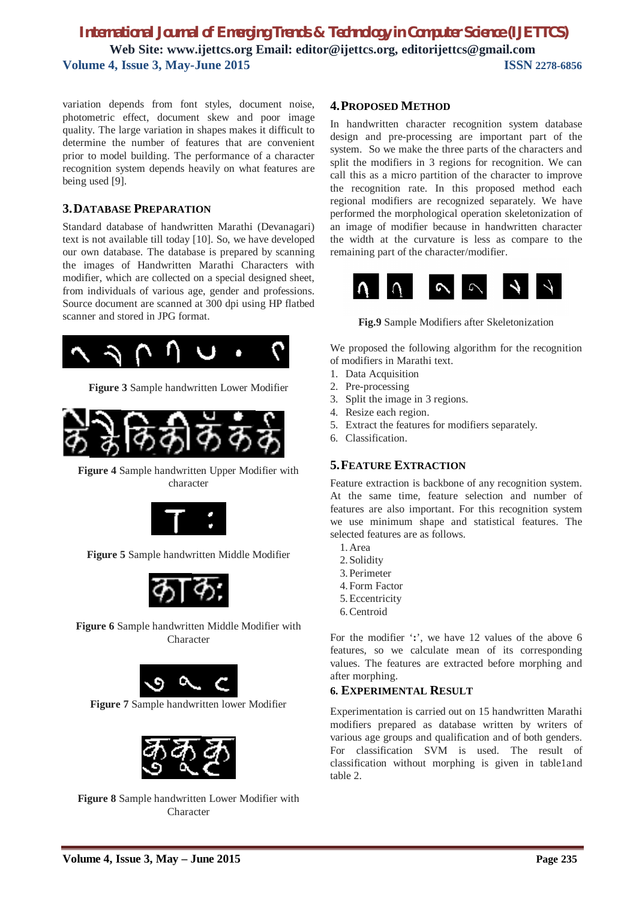variation depends from font styles, document noise, photometric effect, document skew and poor image quality. The large variation in shapes makes it difficult to determine the number of features that are convenient prior to model building. The performance of a character recognition system depends heavily on what features are being used [9].

### **3.DATABASE PREPARATION**

Standard database of handwritten Marathi (Devanagari) text is not available till today [10]. So, we have developed our own database. The database is prepared by scanning the images of Handwritten Marathi Characters with modifier, which are collected on a special designed sheet, from individuals of various age, gender and professions. Source document are scanned at 300 dpi using HP flatbed scanner and stored in JPG format.



**Figure 3** Sample handwritten Lower Modifier



**Figure 4** Sample handwritten Upper Modifier with character



**Figure 5** Sample handwritten Middle Modifier



**Figure 6** Sample handwritten Middle Modifier with Character



**Figure 7** Sample handwritten lower Modifier



**Figure 8** Sample handwritten Lower Modifier with Character

### **4.PROPOSED METHOD**

In handwritten character recognition system database design and pre-processing are important part of the system. So we make the three parts of the characters and split the modifiers in 3 regions for recognition. We can call this as a micro partition of the character to improve the recognition rate. In this proposed method each regional modifiers are recognized separately. We have performed the morphological operation skeletonization of an image of modifier because in handwritten character the width at the curvature is less as compare to the remaining part of the character/modifier.



**Fig.9** Sample Modifiers after Skeletonization

We proposed the following algorithm for the recognition of modifiers in Marathi text.

- 1. Data Acquisition
- 2. Pre-processing
- 3. Split the image in 3 regions.
- 4. Resize each region.
- 5. Extract the features for modifiers separately.
- 6. Classification.

### **5.FEATURE EXTRACTION**

Feature extraction is backbone of any recognition system. At the same time, feature selection and number of features are also important. For this recognition system we use minimum shape and statistical features. The selected features are as follows.

- 1.Area
- 2.Solidity
- 3.Perimeter
- 4.Form Factor
- 5.Eccentricity
- 6.Centroid

For the modifier '**:**', we have 12 values of the above 6 features, so we calculate mean of its corresponding values. The features are extracted before morphing and after morphing.

#### **6. EXPERIMENTAL RESULT**

Experimentation is carried out on 15 handwritten Marathi modifiers prepared as database written by writers of various age groups and qualification and of both genders. For classification SVM is used. The result of classification without morphing is given in table1and table 2.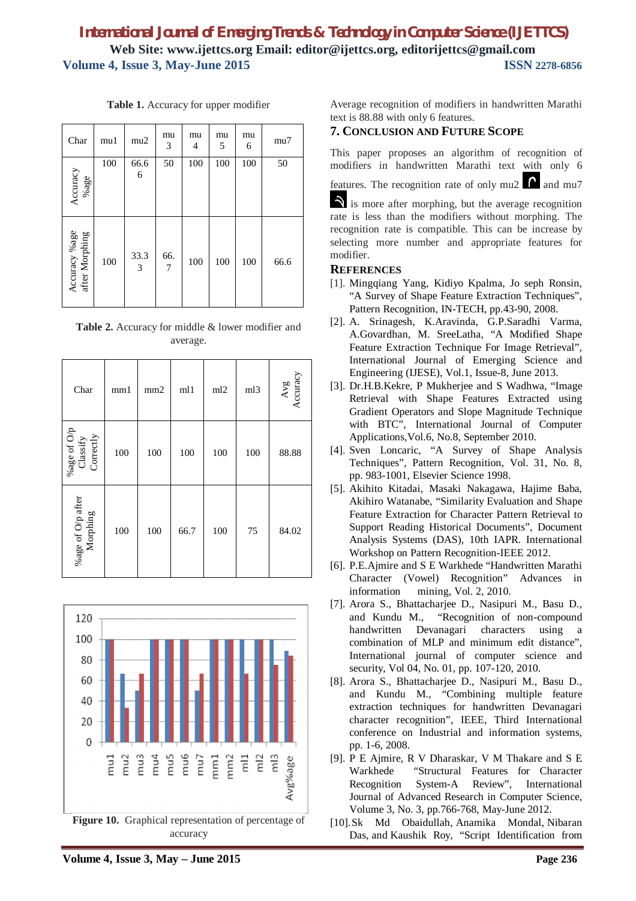| Char                            | mu1 | mu2       | mu<br>3               | mu<br>4 | mu<br>5 | mu<br>6 | mu7  |
|---------------------------------|-----|-----------|-----------------------|---------|---------|---------|------|
| Accuracy<br>%age                | 100 | 66.6<br>6 | 50                    | 100     | 100     | 100     | 50   |
| Accuracy %age<br>after Morphing | 100 | 33.3<br>3 | 66.<br>$\overline{7}$ | 100     | 100     | 100     | 66.6 |

**Table 1.** Accuracy for upper modifier

**Table 2.** Accuracy for middle & lower modifier and average.

| Char                                      | mm1 | mm <sub>2</sub> | ml1  | ml2 | ml3 | $\begin{array}{c}\n\text{Avg} \\ \text{Accuracy}\n\end{array}$ |
|-------------------------------------------|-----|-----------------|------|-----|-----|----------------------------------------------------------------|
| %age of $\mathrm{O/p}$ Classify Correctly | 100 | 100             | 100  | 100 | 100 | 88.88                                                          |
| %age of O/p after Morphing                | 100 | 100             | 66.7 | 100 | 75  | 84.02                                                          |



accuracy

Average recognition of modifiers in handwritten Marathi text is 88.88 with only 6 features.

## **7. CONCLUSION AND FUTURE SCOPE**

This paper proposes an algorithm of recognition of modifiers in handwritten Marathi text with only 6

features. The recognition rate of only  $mu2$  and  $mu7$ 

is more after morphing, but the average recognition rate is less than the modifiers without morphing. The recognition rate is compatible. This can be increase by selecting more number and appropriate features for modifier.

#### **REFERENCES**

- [1]. Mingqiang Yang, Kidiyo Kpalma, Jo seph Ronsin, "A Survey of Shape Feature Extraction Techniques", Pattern Recognition, IN-TECH, pp.43-90, 2008.
- [2]. A. Srinagesh, K.Aravinda, G.P.Saradhi Varma, A.Govardhan, M. SreeLatha, "A Modified Shape Feature Extraction Technique For Image Retrieval", International Journal of Emerging Science and Engineering (IJESE), Vol.1, Issue-8, June 2013.
- [3]. Dr.H.B.Kekre, P Mukherjee and S Wadhwa, "Image Retrieval with Shape Features Extracted using Gradient Operators and Slope Magnitude Technique with BTC", International Journal of Computer Applications,Vol.6, No.8, September 2010.
- [4]. Sven Loncaric, "A Survey of Shape Analysis Techniques", Pattern Recognition, Vol. 31, No. 8, pp. 983-1001, Elsevier Science 1998.
- [5]. Akihito Kitadai, Masaki Nakagawa, Hajime Baba, Akihiro Watanabe, "Similarity Evaluation and Shape Feature Extraction for Character Pattern Retrieval to Support Reading Historical Documents", Document Analysis Systems (DAS), 10th IAPR. International Workshop on Pattern Recognition-IEEE 2012.
- [6]. P.E.Ajmire and S E Warkhede "Handwritten Marathi Character (Vowel) Recognition" Advances in information mining, Vol. 2, 2010.
- [7]. Arora S., Bhattacharjee D., Nasipuri M., Basu D., and Kundu M., "Recognition of non-compound handwritten Devanagari characters using a combination of MLP and minimum edit distance", International journal of computer science and security, Vol 04, No. 01, pp. 107-120, 2010.
- [8]. Arora S., Bhattacharjee D., Nasipuri M., Basu D., and Kundu M., "Combining multiple feature extraction techniques for handwritten Devanagari character recognition", IEEE, Third International conference on Industrial and information systems, pp. 1-6, 2008.
- [9]. P E Ajmire, R V Dharaskar, V M Thakare and S E Warkhede "Structural Features for Character Recognition System-A Review", International Journal of Advanced Research in Computer Science, Volume 3, No. 3, pp.766-768, May-June 2012.
- [10].Sk Md Obaidullah, Anamika Mondal, Nibaran Das, and Kaushik Roy, "Script Identification from

**Volume 4, Issue 3, May – June 2015 Page 236**